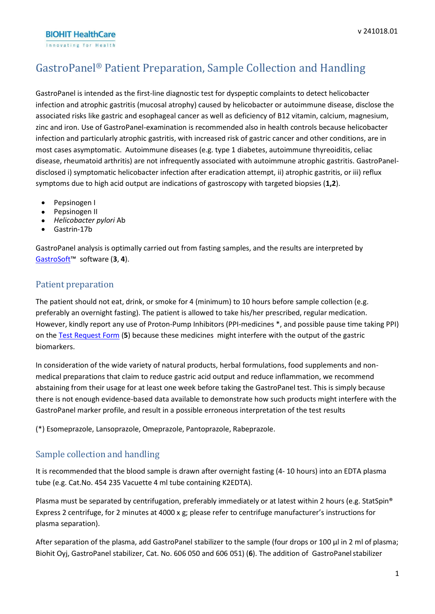**BIOHIT HealthCare** Innovating for Health

# GastroPanel ® Patient Preparation, Sample Collection and Handling

GastroPanel is intended as the first-line diagnostic test for dyspeptic complaints to detect helicobacter infection and atrophic gastritis (mucosal atrophy) caused by helicobacter or autoimmune disease, disclose the associated risks like gastric and esophageal cancer as well as deficiency of B12 vitamin, calcium, magnesium, zinc and iron. Use of GastroPanel-examination is recommended also in health controls because helicobacter infection and particularly atrophic gastritis, with increased risk of gastric cancer and other conditions, are in most cases asymptomatic. Autoimmune diseases (e.g. type 1 diabetes, autoimmune thyreoiditis, celiac disease, rheumatoid arthritis) are not infrequently associated with autoimmune atrophic gastritis. GastroPaneldisclosed i) symptomatic helicobacter infection after eradication attempt, ii) atrophic gastritis, or iii) reflux symptoms due to high acid output are indications of gastroscopy with targeted biopsies (**1,2**).

- Pepsinogen I
- Pepsinogen II
- *Helicobacter pylori* Ab
- Gastrin-17b

GastroPanel analysis is optimally carried out from fasting samples, and the results are interpreted by [GastroSoft](https://www.gastropanel.com/healthcare-professionals-and-laboratories/gastropanel-report-gastrosoft)™ software (**3**, **4**).

# Patient preparation

The patient should not eat, drink, or smoke for 4 (minimum) to 10 hours before sample collection (e.g. preferably an overnight fasting). The patient is allowed to take his/her prescribed, regular medication. However, kindly report any use of Proton-Pump Inhibitors (PPI-medicines \*, and possible pause time taking PPI) on the Test [Request](http://www.biohithealthcare.com/resource/files/other/diaohjeet/gp-request-form.pdf) Form (**5**) because these medicines might interfere with the output of the gastric biomarkers.

In consideration of the wide variety of natural products, herbal formulations, food supplements and nonmedical preparations that claim to reduce gastric acid output and reduce inflammation, we recommend abstaining from their usage for at least one week before taking the GastroPanel test. This is simply because there is not enough evidence-based data available to demonstrate how such products might interfere with the GastroPanel marker profile, and result in a possible erroneous interpretation of the test results

(\*) Esomeprazole, Lansoprazole, Omeprazole, Pantoprazole, Rabeprazole.

# Sample collection and handling

It is recommended that the blood sample is drawn after overnight fasting (4- 10 hours) into an EDTA plasma tube (e.g. Cat.No. 454 235 Vacuette 4 ml tube containing K2EDTA).

Plasma must be separated by centrifugation, preferably immediately or at latest within 2 hours (e.g. StatSpin® Express 2 centrifuge, for 2 minutes at 4000 x g; please refer to centrifuge manufacturer's instructions for plasma separation).

After separation of the plasma, add GastroPanel stabilizer to the sample (four drops or 100 µl in 2 ml of plasma; Biohit Oyj, GastroPanel stabilizer, Cat. No. 606 050 and 606 051) (**6**). The addition of GastroPanelstabilizer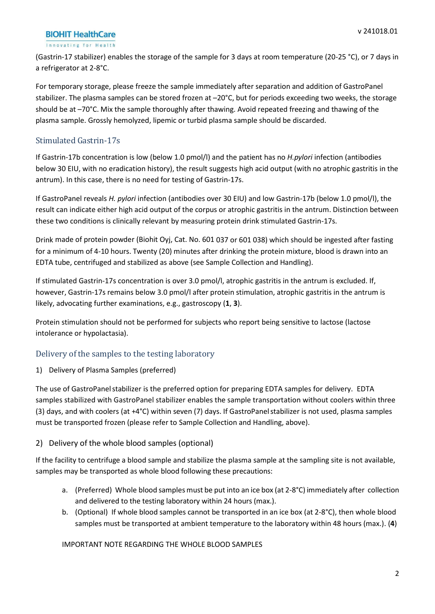## **BIOHIT HealthCare**

#### Innovating for Health

(Gastrin-17 stabilizer) enables the storage of the sample for 3 days at room temperature (20-25 °C), or 7 days in a refrigerator at 2-8°C.

For temporary storage, please freeze the sample immediately after separation and addition of GastroPanel stabilizer. The plasma samples can be stored frozen at –20°C, but for periods exceeding two weeks, the storage should be at –70°C. Mix the sample thoroughly after thawing. Avoid repeated freezing and thawing of the plasma sample. Grossly hemolyzed, lipemic or turbid plasma sample should be discarded.

## Stimulated Gastrin-17s

If Gastrin-17b concentration is low (below 1.0 pmol/l) and the patient has no *H.pylori* infection (antibodies below 30 EIU, with no eradication history), the result suggests high acid output (with no atrophic gastritis in the antrum). In this case, there is no need for testing of Gastrin-17s.

If GastroPanel reveals *H. pylori* infection (antibodies over 30 EIU) and low Gastrin-17b (below 1.0 pmol/l), the result can indicate either high acid output of the corpus or atrophic gastritis in the antrum. Distinction between these two conditions is clinically relevant by measuring protein drink stimulated Gastrin-17s.

Drink made of protein powder (Biohit Oyj, Cat. No. 601 037 or 601 038) which should be ingested after fasting for a minimum of 4-10 hours. Twenty (20) minutes after drinking the protein mixture, blood is drawn into an EDTA tube, centrifuged and stabilized as above (see Sample Collection and Handling).

If stimulated Gastrin-17s concentration is over 3.0 pmol/l, atrophic gastritis in the antrum is excluded. If, however, Gastrin-17s remains below 3.0 pmol/l after protein stimulation, atrophic gastritis in the antrum is likely, advocating further examinations, e.g., gastroscopy (**1**, **3**).

Protein stimulation should not be performed for subjects who report being sensitive to lactose (lactose intolerance or hypolactasia).

# Delivery of the samples to the testing laboratory

1) Delivery of Plasma Samples (preferred)

The use of GastroPanel stabilizer is the preferred option for preparing EDTA samples for delivery. EDTA samples stabilized with GastroPanel stabilizer enables the sample transportation without coolers within three (3) days, and with coolers (at +4°C) within seven (7) days. If GastroPanelstabilizer is not used, plasma samples must be transported frozen (please refer to Sample Collection and Handling, above).

## 2) Delivery of the whole blood samples (optional)

If the facility to centrifuge a blood sample and stabilize the plasma sample at the sampling site is not available, samples may be transported as whole blood following these precautions:

- a. (Preferred) Whole blood samples must be put into an ice box (at 2-8°C) immediately after collection and delivered to the testing laboratory within 24 hours (max.).
- b. (Optional) If whole blood samples cannot be transported in an ice box (at 2-8°C), then whole blood samples must be transported at ambient temperature to the laboratory within 48 hours (max.). (**4**)

IMPORTANT NOTE REGARDING THE WHOLE BLOOD SAMPLES